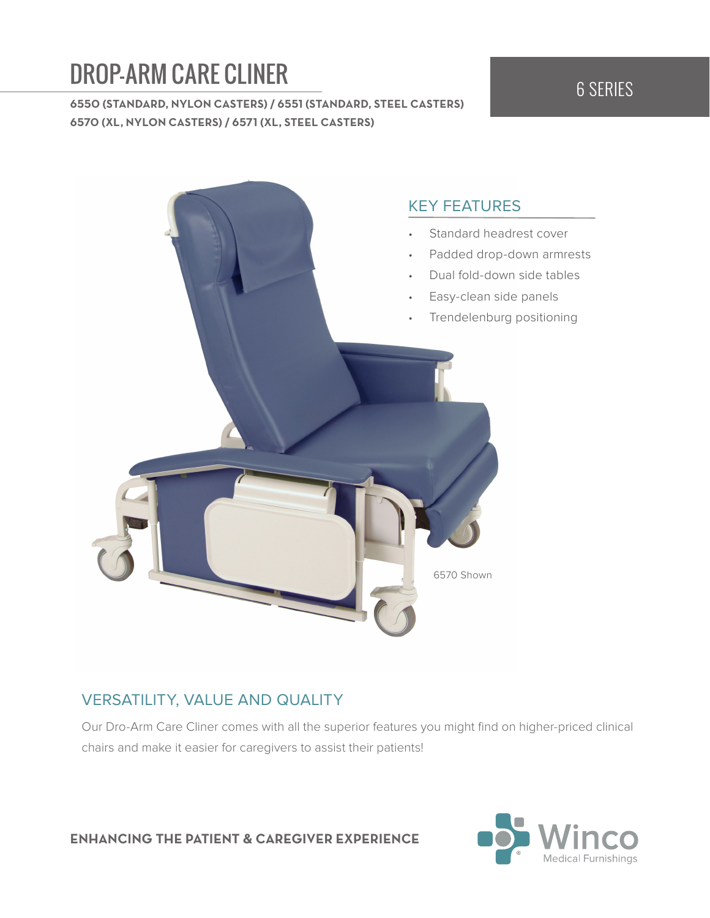# **DROP-ARM CARE CLINER** 6 SERIES

**6550 (STANDARD, NYLON CASTERS) / 6551 (STANDARD, STEEL CASTERS) 6570 (XL, NYLON CASTERS) / 6571 (XL, STEEL CASTERS)**



## VERSATILITY, VALUE AND QUALITY

Our Dro-Arm Care Cliner comes with all the superior features you might find on higher-priced clinical chairs and make it easier for caregivers to assist their patients!

**ENHANCING THE PATIENT & CAREGIVER EXPERIENCE**